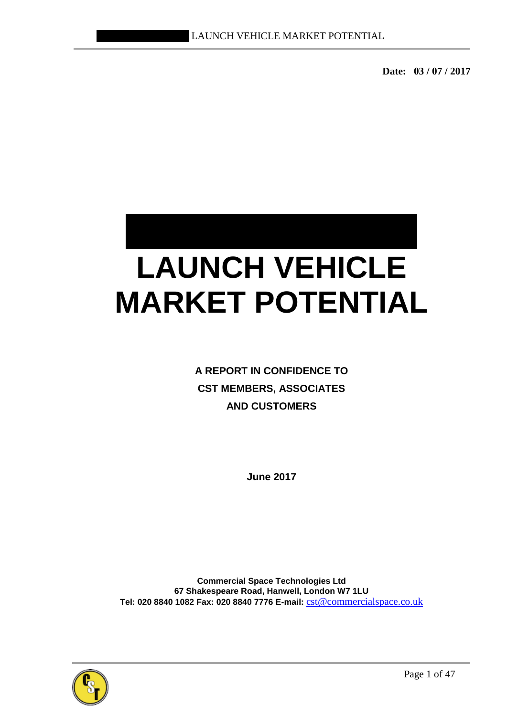**Date: 03 / 07 / 2017**



#### **A REPORT IN CONFIDENCE TO CST MEMBERS, ASSOCIATES AND CUSTOMERS**

**June 2017**

**Commercial Space Technologies Ltd 67 Shakespeare Road, Hanwell, London W7 1LU Tel: 020 8840 1082 Fax: 020 8840 7776 E-mail:** cst@commercialspace.co.uk

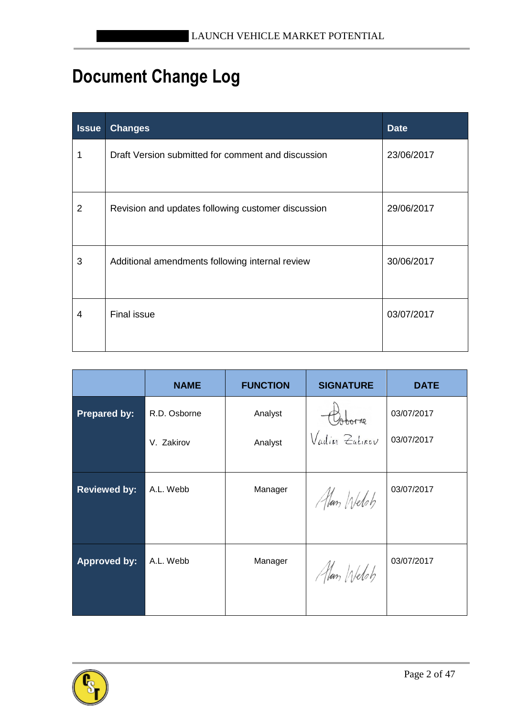# **Document Change Log**

| <b>Issue</b>   | <b>Changes</b>                                     | <b>Date</b> |
|----------------|----------------------------------------------------|-------------|
| 1              | Draft Version submitted for comment and discussion | 23/06/2017  |
| $\overline{2}$ | Revision and updates following customer discussion | 29/06/2017  |
| 3              | Additional amendments following internal review    | 30/06/2017  |
| 4              | <b>Final issue</b>                                 | 03/07/2017  |

|                                     | <b>NAME</b> | <b>FUNCTION</b> | <b>SIGNATURE</b> | <b>DATE</b> |
|-------------------------------------|-------------|-----------------|------------------|-------------|
| <b>Prepared by:</b><br>R.D. Osborne |             | Analyst         |                  | 03/07/2017  |
|                                     | V. Zakirov  | Analyst         | Vadin Zatirov    | 03/07/2017  |
|                                     |             |                 |                  |             |
| <b>Reviewed by:</b>                 | A.L. Webb   | Manager         | Alan Webs        | 03/07/2017  |
|                                     |             |                 |                  |             |
| <b>Approved by:</b>                 | A.L. Webb   | Manager         | Alan Welsh       | 03/07/2017  |
|                                     |             |                 |                  |             |

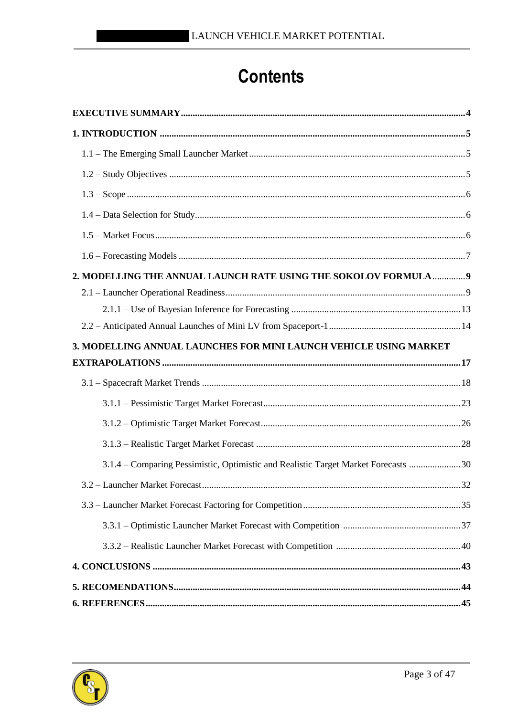### **Contents**

| 2. MODELLING THE ANNUAL LAUNCH RATE USING THE SOKOLOV FORMULA 9                 |     |  |  |  |
|---------------------------------------------------------------------------------|-----|--|--|--|
|                                                                                 |     |  |  |  |
|                                                                                 |     |  |  |  |
|                                                                                 |     |  |  |  |
| 3. MODELLING ANNUAL LAUNCHES FOR MINI LAUNCH VEHICLE USING MARKET               |     |  |  |  |
|                                                                                 |     |  |  |  |
|                                                                                 |     |  |  |  |
|                                                                                 |     |  |  |  |
|                                                                                 |     |  |  |  |
|                                                                                 |     |  |  |  |
| 3.1.4 – Comparing Pessimistic, Optimistic and Realistic Target Market Forecasts |     |  |  |  |
|                                                                                 | .32 |  |  |  |
|                                                                                 |     |  |  |  |
|                                                                                 |     |  |  |  |
|                                                                                 |     |  |  |  |
|                                                                                 |     |  |  |  |
|                                                                                 |     |  |  |  |
|                                                                                 |     |  |  |  |

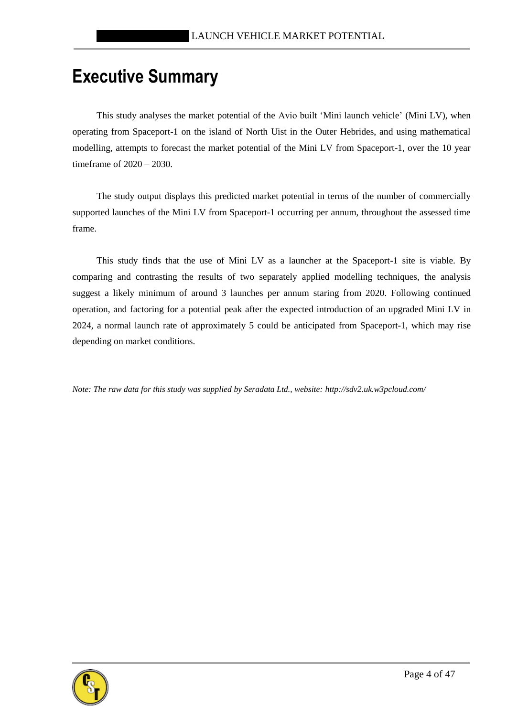#### **Executive Summary**

This study analyses the market potential of the Avio built 'Mini launch vehicle' (Mini LV), when operating from Spaceport-1 on the island of North Uist in the Outer Hebrides, and using mathematical modelling, attempts to forecast the market potential of the Mini LV from Spaceport-1, over the 10 year timeframe of 2020 – 2030.

The study output displays this predicted market potential in terms of the number of commercially supported launches of the Mini LV from Spaceport-1 occurring per annum, throughout the assessed time frame.

This study finds that the use of Mini LV as a launcher at the Spaceport-1 site is viable. By comparing and contrasting the results of two separately applied modelling techniques, the analysis suggest a likely minimum of around 3 launches per annum staring from 2020. Following continued operation, and factoring for a potential peak after the expected introduction of an upgraded Mini LV in 2024, a normal launch rate of approximately 5 could be anticipated from Spaceport-1, which may rise depending on market conditions.

*Note: The raw data for this study was supplied by Seradata Ltd., website: http://sdv2.uk.w3pcloud.com/* 

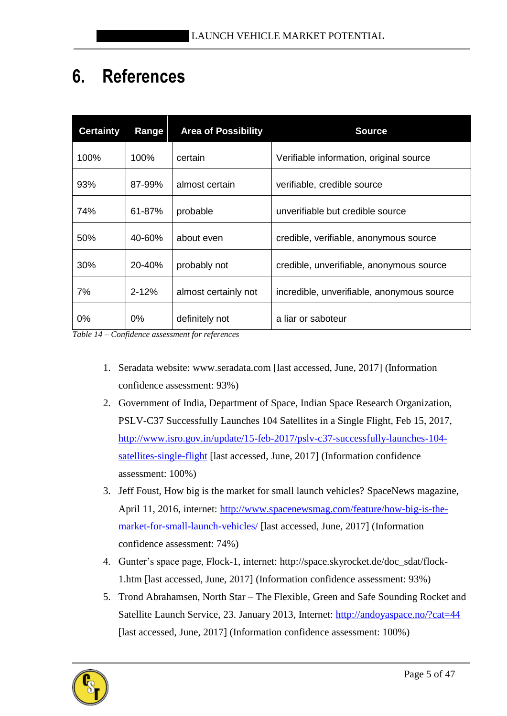## **6. References**

| <b>Certainty</b> | Range     | <b>Area of Possibility</b> | <b>Source</b>                              |
|------------------|-----------|----------------------------|--------------------------------------------|
| 100%             | 100%      | certain                    | Verifiable information, original source    |
| 93%              | 87-99%    | almost certain             | verifiable, credible source                |
| 74%              | 61-87%    | probable                   | unverifiable but credible source           |
| 50%              | 40-60%    | about even                 | credible, verifiable, anonymous source     |
| 30%              | 20-40%    | probably not               | credible, unverifiable, anonymous source   |
| 7%               | $2 - 12%$ | almost certainly not       | incredible, unverifiable, anonymous source |
| $0\%$            | $0\%$     | definitely not             | a liar or saboteur                         |

*Table 14 – Confidence assessment for references*

- 1. Seradata website: www.seradata.com [last accessed, June, 2017] (Information confidence assessment: 93%)
- 2. Government of India, Department of Space, Indian Space Research Organization, PSLV-C37 Successfully Launches 104 Satellites in a Single Flight, Feb 15, 2017, [http://www.isro.gov.in/update/15-feb-2017/pslv-c37-successfully-launches-104](http://www.isro.gov.in/update/15-feb-2017/pslv-c37-successfully-launches-104-satellites-single-flight) [satellites-single-flight](http://www.isro.gov.in/update/15-feb-2017/pslv-c37-successfully-launches-104-satellites-single-flight) [last accessed, June, 2017] (Information confidence assessment: 100%)
- 3. Jeff Foust, How big is the market for small launch vehicles? SpaceNews magazine, April 11, 2016, internet: [http://www.spacenewsmag.com/feature/how-big-is-the](http://www.spacenewsmag.com/feature/how-big-is-the-market-for-small-launch-vehicles/)[market-for-small-launch-vehicles/](http://www.spacenewsmag.com/feature/how-big-is-the-market-for-small-launch-vehicles/) [last accessed, June, 2017] (Information confidence assessment: 74%)
- 4. Gunter's space page, Flock-1, internet: http://space.skyrocket.de/doc\_sdat/flock-1.htm [last accessed, June, 2017] (Information confidence assessment: 93%)
- 5. Trond Abrahamsen, North Star The Flexible, Green and Safe Sounding Rocket and Satellite Launch Service, 23. January 2013, Internet: http://andoyaspace.no/?cat=44 [last accessed, June, 2017] (Information confidence assessment: 100%)

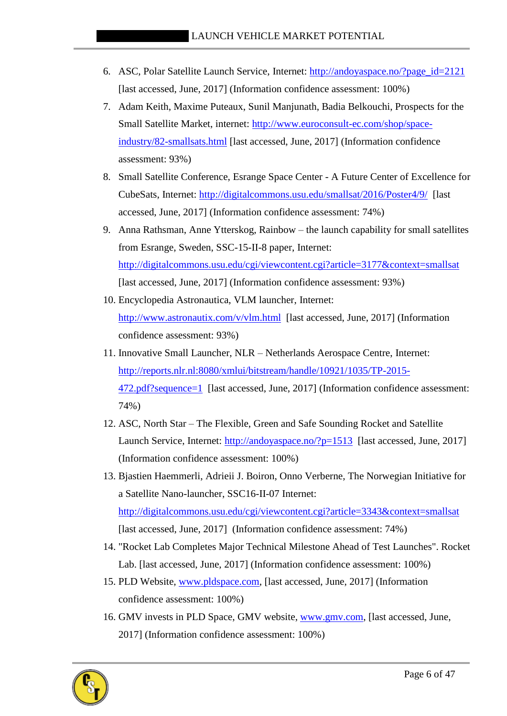- 6. ASC, Polar Satellite Launch Service, Internet: http://andoyaspace.no/?page\_id=2121 [last accessed, June, 2017] (Information confidence assessment: 100%)
- 7. Adam Keith, Maxime Puteaux, Sunil Manjunath, Badia Belkouchi, Prospects for the Small Satellite Market, internet: http://www.euroconsult-ec.com/shop/spaceindustry/82-smallsats.html [last accessed, June, 2017] (Information confidence assessment: 93%)
- 8. Small Satellite Conference, Esrange Space Center A Future Center of Excellence for CubeSats, Internet: http://digitalcommons.usu.edu/smallsat/2016/Poster4/9/ [last accessed, June, 2017] (Information confidence assessment: 74%)
- 9. Anna Rathsman, Anne Ytterskog, Rainbow the launch capability for small satellites from Esrange, Sweden, SSC-15-II-8 paper, Internet: http://digitalcommons.usu.edu/cgi/viewcontent.cgi?article=3177&context=smallsat [last accessed, June, 2017] (Information confidence assessment: 93%)
- 10. Encyclopedia Astronautica, VLM launcher, Internet: http://www.astronautix.com/v/vlm.html [last accessed, June, 2017] (Information confidence assessment: 93%)
- 11. Innovative Small Launcher, NLR Netherlands Aerospace Centre, Internet: http://reports.nlr.nl:8080/xmlui/bitstream/handle/10921/1035/TP-2015- 472.pdf?sequence=1 [last accessed, June, 2017] (Information confidence assessment: 74%)
- 12. ASC, North Star The Flexible, Green and Safe Sounding Rocket and Satellite Launch Service, Internet: http://andoyaspace.no/?p=1513 [last accessed, June, 2017] (Information confidence assessment: 100%)
- 13. Bjastien Haemmerli, Adrieii J. Boiron, Onno Verberne, The Norwegian Initiative for a Satellite Nano-launcher, SSC16-II-07 Internet: http://digitalcommons.usu.edu/cgi/viewcontent.cgi?article=3343&context=smallsat [last accessed, June, 2017] (Information confidence assessment: 74%)
- 14. "Rocket Lab Completes Major Technical Milestone Ahead of Test Launches". Rocket Lab. [last accessed, June, 2017] (Information confidence assessment: 100%)
- 15. PLD Website, www.pldspace.com, [last accessed, June, 2017] (Information confidence assessment: 100%)
- 16. GMV invests in PLD Space, GMV website, www.gmv.com, [last accessed, June, 2017] (Information confidence assessment: 100%)